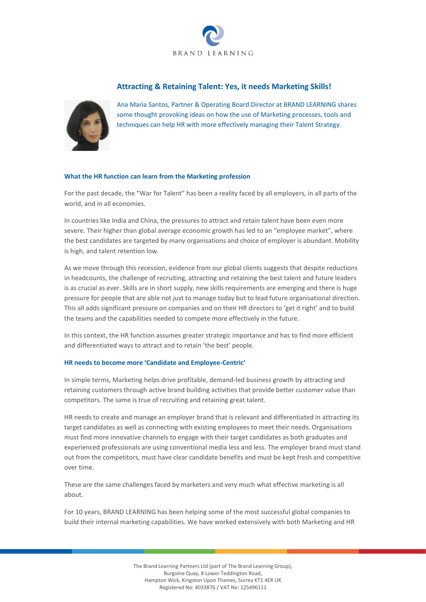

# **Attracting & Retaining Talent: Yes, it needs Marketing Skills!**



Ana Maria Santos, Partner & Operating Board Director at BRAND LEARNING shares some thought provoking ideas on how the use of Marketing processes, tools and techniques can help HR with more effectively managing their Talent Strategy.

## **What the HR function can learn from the Marketing profession**

For the past decade, the "War for Talent" has been a reality faced by all employers, in all parts of the world, and in all economies.

In countries like India and China, the pressures to attract and retain talent have been even more severe. Their higher than global average economic growth has led to an "employee market", where the best candidates are targeted by many organisations and choice of employer is abundant. Mobility is high, and talent retention low.

As we move through this recession, evidence from our global clients suggests that despite reductions in headcounts, the challenge of recruiting, attracting and retaining the best talent and future leaders is as crucial as ever. Skills are in short supply, new skills requirements are emerging and there is huge pressure for people that are able not just to manage today but to lead future organisational direction. This all adds significant pressure on companies and on their HR directors to 'get it right' and to build the teams and the capabilities needed to compete more effectively in the future.

In this context, the HR function assumes greater strategic importance and has to find more efficient and differentiated ways to attract and to retain 'the best' people.

### **HR needs to become more 'Candidate and Employee-Centric'**

In simple terms, Marketing helps drive profitable, demand-led business growth by attracting and retaining customers through active brand building activities that provide better customer value than competitors. The same is true of recruiting and retaining great talent.

HR needs to create and manage an employer brand that is relevant and differentiated in attracting its target candidates as well as connecting with existing employees to meet their needs. Organisations must find more innovative channels to engage with their target candidates as both graduates and experienced professionals are using conventional media less and less. The employer brand must stand out from the competitors, must have clear candidate benefits and must be kept fresh and competitive over time.

These are the same challenges faced by marketers and very much what effective marketing is all about.

For 10 years, BRAND LEARNING has been helping some of the most successful global companies to build their internal marketing capabilities. We have worked extensively with both Marketing and HR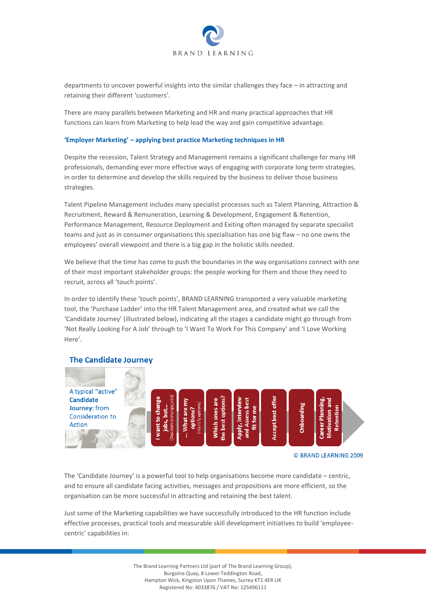

departments to uncover powerful insights into the similar challenges they face – in attracting and retaining their different 'customers'.

There are many parallels between Marketing and HR and many practical approaches that HR functions can learn from Marketing to help lead the way and gain competitive advantage.

### **'Employer Marketing' – applying best practice Marketing techniques in HR**

Despite the recession, Talent Strategy and Management remains a significant challenge for many HR professionals, demanding ever more effective ways of engaging with corporate long term strategies, in order to determine and develop the skills required by the business to deliver those business strategies.

Talent Pipeline Management includes many specialist processes such as Talent Planning, Attraction & Recruitment, Reward & Remuneration, Learning & Development, Engagement & Retention, Performance Management, Resource Deployment and Exiting often managed by separate specialist teams and just as in consumer organisations this specialisation has one big flaw – no one owns the employees' overall viewpoint and there is a big gap in the holistic skills needed.

We believe that the time has come to push the boundaries in the way organisations connect with one of their most important stakeholder groups: the people working for them and those they need to recruit, across all 'touch points'.

In order to identify these 'touch points', BRAND LEARNING transported a very valuable marketing tool, the 'Purchase Ladder' into the HR Talent Management area, and created what we call the 'Candidate Journey' (illustrated below), indicating all the stages a candidate might go through from 'Not Really Looking For A Job' through to 'I Want To Work For This Company' and 'I Love Working Here'.



# **The Candidate Journey**

The 'Candidate Journey' is a powerful tool to help organisations become more candidate – centric, and to ensure all candidate facing activities, messages and propositions are more efficient, so the organisation can be more successful in attracting and retaining the best talent.

Just some of the Marketing capabilities we have successfully introduced to the HR function include effective processes, practical tools and measurable skill development initiatives to build 'employeecentric' capabilities in: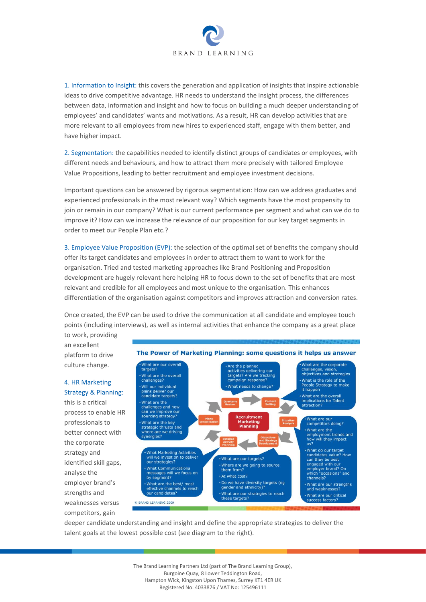

1. Information to Insight: this covers the generation and application of insights that inspire actionable ideas to drive competitive advantage. HR needs to understand the insight process, the differences between data, information and insight and how to focus on building a much deeper understanding of employees' and candidates' wants and motivations. As a result, HR can develop activities that are more relevant to all employees from new hires to experienced staff, engage with them better, and have higher impact.

2. Segmentation: the capabilities needed to identify distinct groups of candidates or employees, with different needs and behaviours, and how to attract them more precisely with tailored Employee Value Propositions, leading to better recruitment and employee investment decisions.

Important questions can be answered by rigorous segmentation: How can we address graduates and experienced professionals in the most relevant way? Which segments have the most propensity to join or remain in our company? What is our current performance per segment and what can we do to improve it? How can we increase the relevance of our proposition for our key target segments in order to meet our People Plan etc.?

3. Employee Value Proposition (EVP): the selection of the optimal set of benefits the company should offer its target candidates and employees in order to attract them to want to work for the organisation. Tried and tested marketing approaches like Brand Positioning and Proposition development are hugely relevant here helping HR to focus down to the set of benefits that are most relevant and credible for all employees and most unique to the organisation. This enhances differentiation of the organisation against competitors and improves attraction and conversion rates.

Once created, the EVP can be used to drive the communication at all candidate and employee touch points (including interviews), as well as internal activities that enhance the company as a great place to work, providing

an excellent platform to drive culture change.

# 4. HR Marketing Strategy & Planning:

this is a critical process to enable HR professionals to better connect with the corporate strategy and identified skill gaps, analyse the employer brand's strengths and weaknesses versus competitors, gain



deeper candidate understanding and insight and define the appropriate strategies to deliver the talent goals at the lowest possible cost (see diagram to the right).